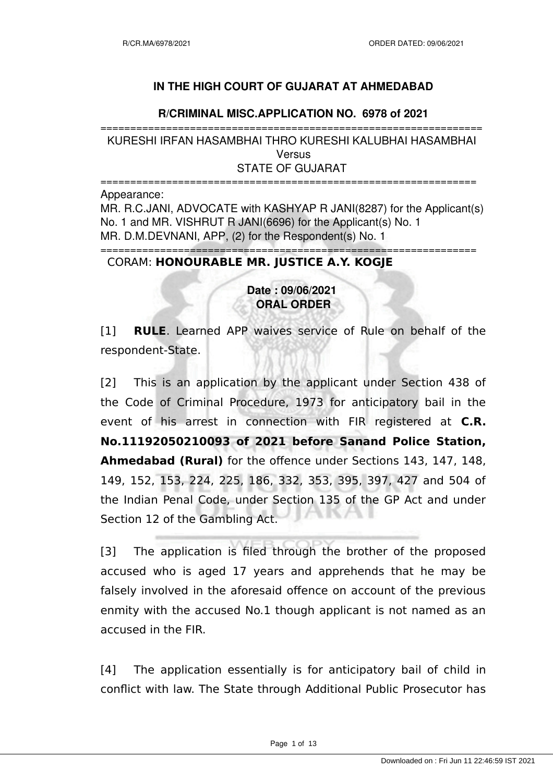## **IN THE HIGH COURT OF GUJARAT AT AHMEDABAD**

### **R/CRIMINAL MISC.APPLICATION NO. 6978 of 2021**

================================================================ KURESHI IRFAN HASAMBHAI THRO KURESHI KALUBHAI HASAMBHAI Versus STATE OF GUJARAT

=============================================================== Appearance: MR. R.C.JANI, ADVOCATE with KASHYAP R JANI(8287) for the Applicant(s) No. 1 and MR. VISHRUT R JANI(6696) for the Applicant(s) No. 1 MR. D.M.DEVNANI, APP, (2) for the Respondent(s) No. 1 ===============================================================

## CORAM: **HONOURABLE MR. JUSTICE A.Y. KOGJE**

# **Date : 09/06/2021 ORAL ORDER**

[1] **RULE**. Learned APP waives service of Rule on behalf of the respondent-State.

[2] This is an application by the applicant under Section 438 of the Code of Criminal Procedure, 1973 for anticipatory bail in the event of his arrest in connection with FIR registered at **C.R. No.11192050210093 of 2021 before Sanand Police Station, Ahmedabad (Rural)** for the offence under Sections 143, 147, 148, 149, 152, 153, 224, 225, 186, 332, 353, 395, 397, 427 and 504 of the Indian Penal Code, under Section 135 of the GP Act and under Section 12 of the Gambling Act.

[3] The application is filed through the brother of the proposed accused who is aged 17 years and apprehends that he may be falsely involved in the aforesaid offence on account of the previous enmity with the accused No.1 though applicant is not named as an accused in the FIR.

[4] The application essentially is for anticipatory bail of child in conflict with law. The State through Additional Public Prosecutor has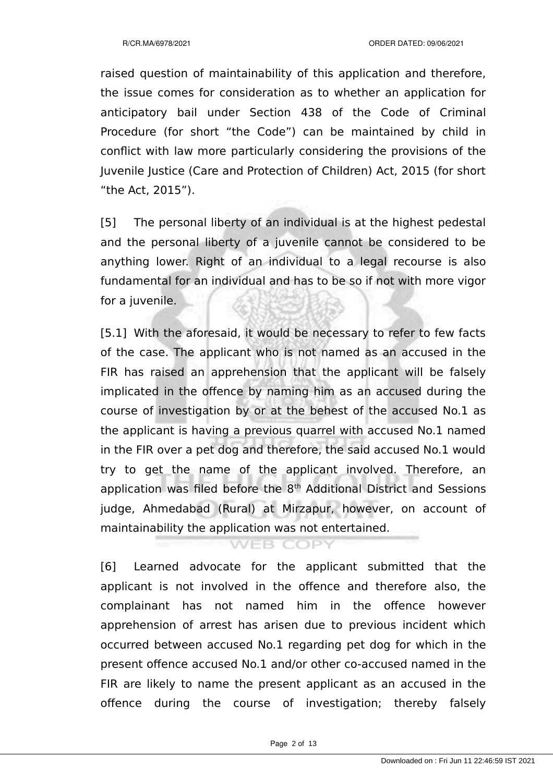raised question of maintainability of this application and therefore, the issue comes for consideration as to whether an application for anticipatory bail under Section 438 of the Code of Criminal Procedure (for short "the Code") can be maintained by child in conflict with law more particularly considering the provisions of the Juvenile Justice (Care and Protection of Children) Act, 2015 (for short "the Act, 2015").

[5] The personal liberty of an individual is at the highest pedestal and the personal liberty of a juvenile cannot be considered to be anything lower. Right of an individual to a legal recourse is also fundamental for an individual and has to be so if not with more vigor for a juvenile.

[5.1] With the aforesaid, it would be necessary to refer to few facts of the case. The applicant who is not named as an accused in the FIR has raised an apprehension that the applicant will be falsely implicated in the offence by naming him as an accused during the course of investigation by or at the behest of the accused No.1 as the applicant is having a previous quarrel with accused No.1 named in the FIR over a pet dog and therefore, the said accused No.1 would try to get the name of the applicant involved. Therefore, an application was filed before the 8<sup>th</sup> Additional District and Sessions judge, Ahmedabad (Rural) at Mirzapur, however, on account of maintainability the application was not entertained.

[6] Learned advocate for the applicant submitted that the applicant is not involved in the offence and therefore also, the complainant has not named him in the offence however apprehension of arrest has arisen due to previous incident which occurred between accused No.1 regarding pet dog for which in the present offence accused No.1 and/or other co-accused named in the FIR are likely to name the present applicant as an accused in the offence during the course of investigation; thereby falsely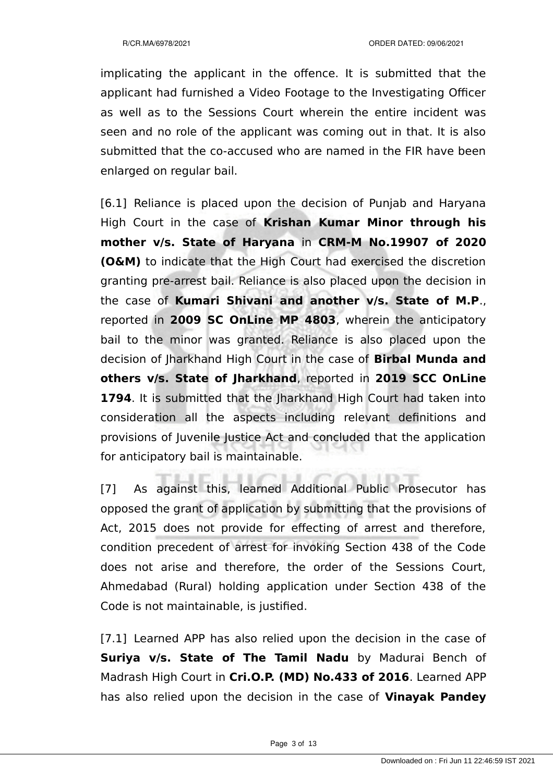implicating the applicant in the offence. It is submitted that the applicant had furnished a Video Footage to the Investigating Officer as well as to the Sessions Court wherein the entire incident was seen and no role of the applicant was coming out in that. It is also submitted that the co-accused who are named in the FIR have been enlarged on regular bail.

[6.1] Reliance is placed upon the decision of Punjab and Haryana High Court in the case of **Krishan Kumar Minor through his mother v/s. State of Haryana** in **CRM-M No.19907 of 2020 (O&M)** to indicate that the High Court had exercised the discretion granting pre-arrest bail. Reliance is also placed upon the decision in the case of **Kumari Shivani and another v/s. State of M.P**., reported in **2009 SC OnLine MP 4803**, wherein the anticipatory bail to the minor was granted. Reliance is also placed upon the decision of Jharkhand High Court in the case of **Birbal Munda and others v/s. State of Jharkhand**, reported in **2019 SCC OnLine 1794**. It is submitted that the Jharkhand High Court had taken into consideration all the aspects including relevant definitions and provisions of Juvenile Justice Act and concluded that the application for anticipatory bail is maintainable.

[7] As against this, learned Additional Public Prosecutor has opposed the grant of application by submitting that the provisions of Act, 2015 does not provide for effecting of arrest and therefore, condition precedent of arrest for invoking Section 438 of the Code does not arise and therefore, the order of the Sessions Court, Ahmedabad (Rural) holding application under Section 438 of the Code is not maintainable, is justified.

[7.1] Learned APP has also relied upon the decision in the case of **Suriya v/s. State of The Tamil Nadu** by Madurai Bench of Madrash High Court in **Cri.O.P. (MD) No.433 of 2016**. Learned APP has also relied upon the decision in the case of **Vinayak Pandey**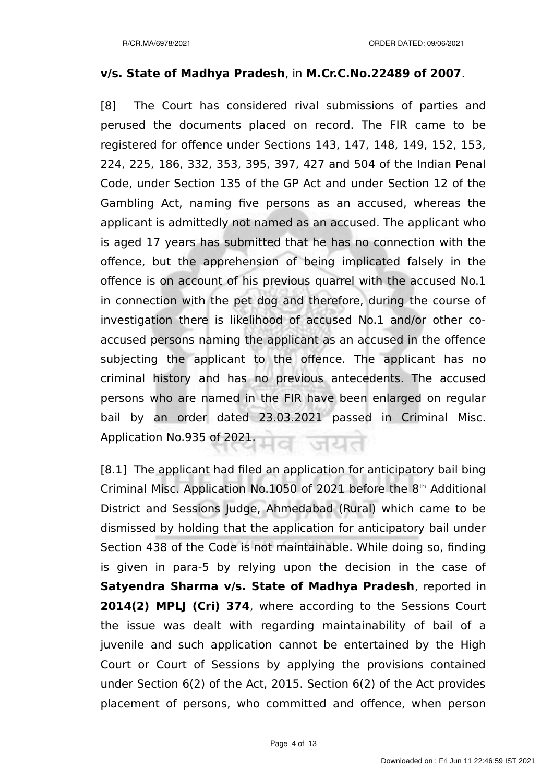### **v/s. State of Madhya Pradesh**, in **M.Cr.C.No.22489 of 2007**.

[8] The Court has considered rival submissions of parties and perused the documents placed on record. The FIR came to be registered for offence under Sections 143, 147, 148, 149, 152, 153, 224, 225, 186, 332, 353, 395, 397, 427 and 504 of the Indian Penal Code, under Section 135 of the GP Act and under Section 12 of the Gambling Act, naming five persons as an accused, whereas the applicant is admittedly not named as an accused. The applicant who is aged 17 years has submitted that he has no connection with the offence, but the apprehension of being implicated falsely in the offence is on account of his previous quarrel with the accused No.1 in connection with the pet dog and therefore, during the course of investigation there is likelihood of accused No.1 and/or other coaccused persons naming the applicant as an accused in the offence subjecting the applicant to the offence. The applicant has no criminal history and has no previous antecedents. The accused persons who are named in the FIR have been enlarged on regular bail by an order dated 23.03.2021 passed in Criminal Misc. Application No.935 of 2021.

[8.1] The applicant had filed an application for anticipatory bail bing Criminal Misc. Application No.1050 of 2021 before the 8<sup>th</sup> Additional District and Sessions Judge, Ahmedabad (Rural) which came to be dismissed by holding that the application for anticipatory bail under Section 438 of the Code is not maintainable. While doing so, finding is given in para-5 by relying upon the decision in the case of **Satyendra Sharma v/s. State of Madhya Pradesh**, reported in **2014(2) MPLJ (Cri) 374**, where according to the Sessions Court the issue was dealt with regarding maintainability of bail of a juvenile and such application cannot be entertained by the High Court or Court of Sessions by applying the provisions contained under Section 6(2) of the Act, 2015. Section 6(2) of the Act provides placement of persons, who committed and offence, when person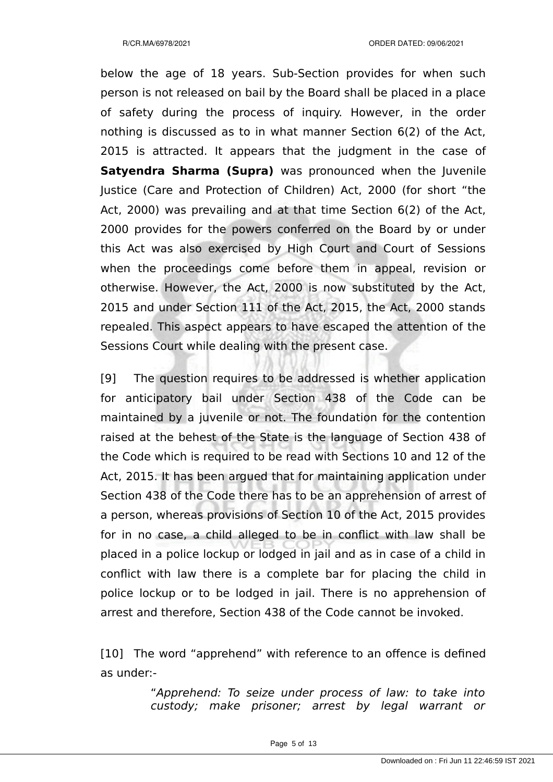below the age of 18 years. Sub-Section provides for when such person is not released on bail by the Board shall be placed in a place of safety during the process of inquiry. However, in the order nothing is discussed as to in what manner Section 6(2) of the Act, 2015 is attracted. It appears that the judgment in the case of **Satyendra Sharma (Supra)** was pronounced when the Juvenile Justice (Care and Protection of Children) Act, 2000 (for short "the Act, 2000) was prevailing and at that time Section 6(2) of the Act, 2000 provides for the powers conferred on the Board by or under this Act was also exercised by High Court and Court of Sessions when the proceedings come before them in appeal, revision or otherwise. However, the Act, 2000 is now substituted by the Act, 2015 and under Section 111 of the Act, 2015, the Act, 2000 stands repealed. This aspect appears to have escaped the attention of the Sessions Court while dealing with the present case.

[9] The question requires to be addressed is whether application for anticipatory bail under Section 438 of the Code can be maintained by a juvenile or not. The foundation for the contention raised at the behest of the State is the language of Section 438 of the Code which is required to be read with Sections 10 and 12 of the Act, 2015. It has been argued that for maintaining application under Section 438 of the Code there has to be an apprehension of arrest of a person, whereas provisions of Section 10 of the Act, 2015 provides for in no case, a child alleged to be in conflict with law shall be placed in a police lockup or lodged in jail and as in case of a child in conflict with law there is a complete bar for placing the child in police lockup or to be lodged in jail. There is no apprehension of arrest and therefore, Section 438 of the Code cannot be invoked.

[10] The word "apprehend" with reference to an offence is defined as under:-

> "Apprehend: To seize under process of law: to take into custody; make prisoner; arrest by legal warrant or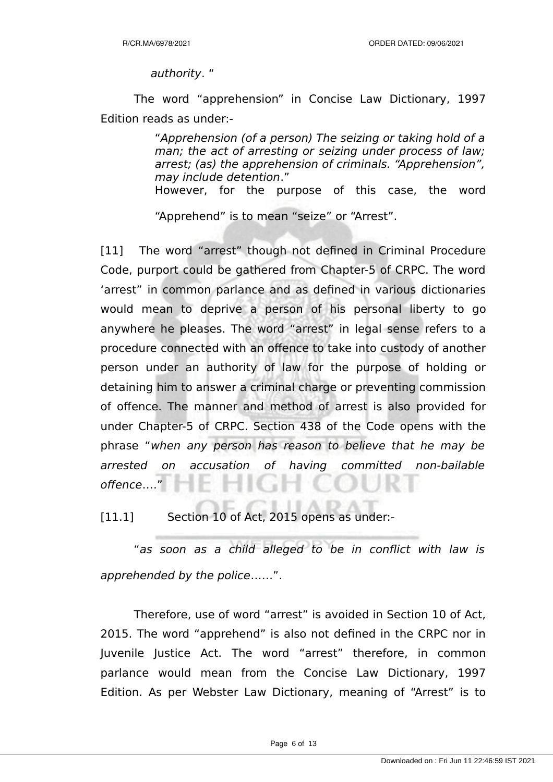authority. "

The word "apprehension" in Concise Law Dictionary, 1997 Edition reads as under:-

> "Apprehension (of a person) The seizing or taking hold of a man; the act of arresting or seizing under process of law; arrest; (as) the apprehension of criminals. "Apprehension", may include detention."

> However, for the purpose of this case, the word

"Apprehend" is to mean "seize" or "Arrest".

[11] The word "arrest" though not defined in Criminal Procedure Code, purport could be gathered from Chapter-5 of CRPC. The word 'arrest" in common parlance and as defined in various dictionaries would mean to deprive a person of his personal liberty to go anywhere he pleases. The word "arrest" in legal sense refers to a procedure connected with an offence to take into custody of another person under an authority of law for the purpose of holding or detaining him to answer a criminal charge or preventing commission of offence. The manner and method of arrest is also provided for under Chapter-5 of CRPC. Section 438 of the Code opens with the phrase "when any person has reason to believe that he may be arrested on accusation of having committed non-bailable offence…."

[11.1] Section 10 of Act, 2015 opens as under:-

"as soon as a child alleged to be in conflict with law is apprehended by the police……".

Therefore, use of word "arrest" is avoided in Section 10 of Act, 2015. The word "apprehend" is also not defined in the CRPC nor in Juvenile Justice Act. The word "arrest" therefore, in common parlance would mean from the Concise Law Dictionary, 1997 Edition. As per Webster Law Dictionary, meaning of "Arrest" is to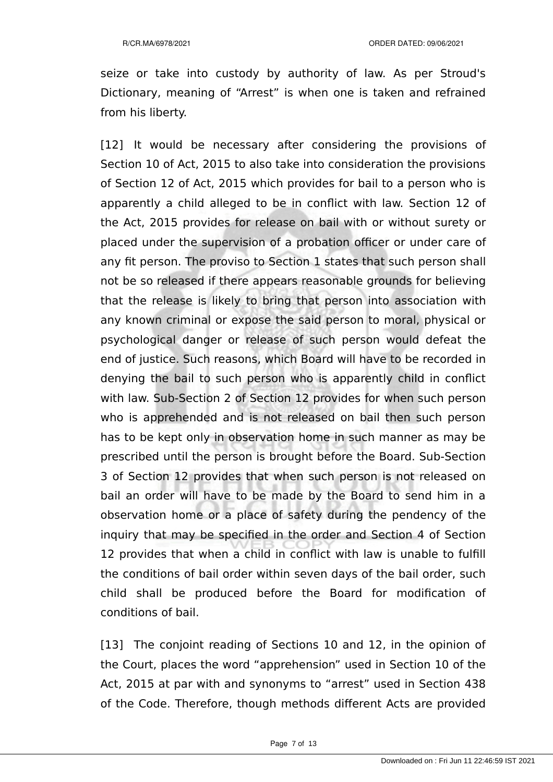seize or take into custody by authority of law. As per Stroud's Dictionary, meaning of "Arrest" is when one is taken and refrained from his liberty.

[12] It would be necessary after considering the provisions of Section 10 of Act, 2015 to also take into consideration the provisions of Section 12 of Act, 2015 which provides for bail to a person who is apparently a child alleged to be in conflict with law. Section 12 of the Act, 2015 provides for release on bail with or without surety or placed under the supervision of a probation officer or under care of any fit person. The proviso to Section 1 states that such person shall not be so released if there appears reasonable grounds for believing that the release is likely to bring that person into association with any known criminal or expose the said person to moral, physical or psychological danger or release of such person would defeat the end of justice. Such reasons, which Board will have to be recorded in denying the bail to such person who is apparently child in conflict with law. Sub-Section 2 of Section 12 provides for when such person who is apprehended and is not released on bail then such person has to be kept only in observation home in such manner as may be prescribed until the person is brought before the Board. Sub-Section 3 of Section 12 provides that when such person is not released on bail an order will have to be made by the Board to send him in a observation home or a place of safety during the pendency of the inquiry that may be specified in the order and Section 4 of Section 12 provides that when a child in conflict with law is unable to fulfill the conditions of bail order within seven days of the bail order, such child shall be produced before the Board for modification of conditions of bail.

[13] The conjoint reading of Sections 10 and 12, in the opinion of the Court, places the word "apprehension" used in Section 10 of the Act, 2015 at par with and synonyms to "arrest" used in Section 438 of the Code. Therefore, though methods different Acts are provided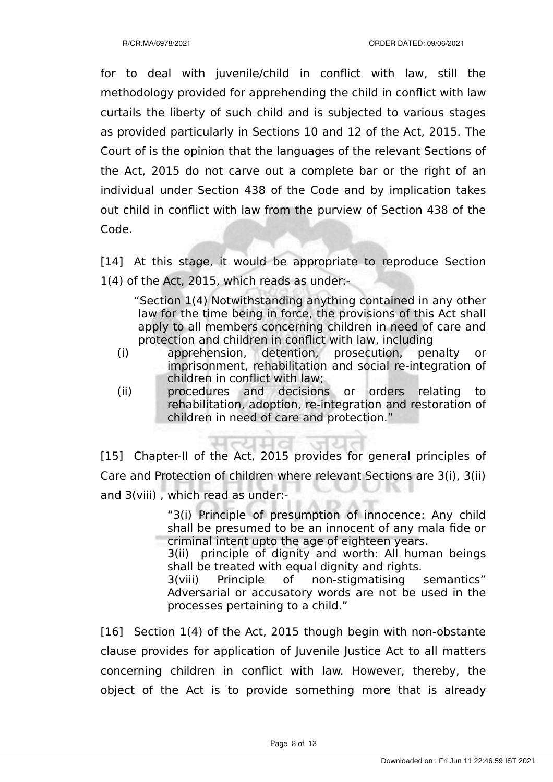for to deal with juvenile/child in conflict with law, still the methodology provided for apprehending the child in conflict with law curtails the liberty of such child and is subjected to various stages as provided particularly in Sections 10 and 12 of the Act, 2015. The Court of is the opinion that the languages of the relevant Sections of the Act, 2015 do not carve out a complete bar or the right of an individual under Section 438 of the Code and by implication takes out child in conflict with law from the purview of Section 438 of the Code.

[14] At this stage, it would be appropriate to reproduce Section 1(4) of the Act, 2015, which reads as under:-

"Section 1(4) Notwithstanding anything contained in any other law for the time being in force, the provisions of this Act shall apply to all members concerning children in need of care and protection and children in conflict with law, including

- (i) apprehension, detention, prosecution, penalty or imprisonment, rehabilitation and social re-integration of children in conflict with law;
- (ii) procedures and decisions or orders relating to rehabilitation, adoption, re-integration and restoration of children in need of care and protection."

[15] Chapter-II of the Act, 2015 provides for general principles of Care and Protection of children where relevant Sections are 3(i), 3(ii) and 3(viii) , which read as under:-

> "3(i) Principle of presumption of innocence: Any child shall be presumed to be an innocent of any mala fide or criminal intent upto the age of eighteen years.

> 3(ii) principle of dignity and worth: All human beings shall be treated with equal dignity and rights.

> 3(viii) Principle of non-stigmatising semantics" Adversarial or accusatory words are not be used in the processes pertaining to a child."

[16] Section 1(4) of the Act, 2015 though begin with non-obstante clause provides for application of Juvenile Justice Act to all matters concerning children in conflict with law. However, thereby, the object of the Act is to provide something more that is already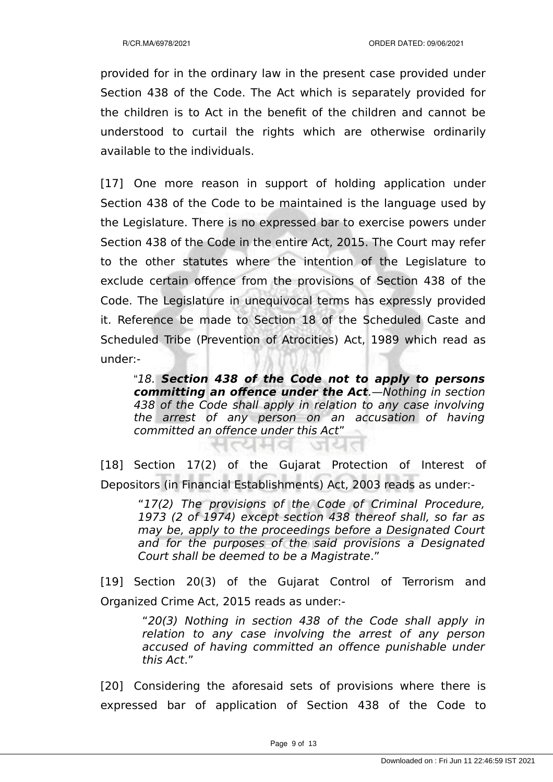provided for in the ordinary law in the present case provided under Section 438 of the Code. The Act which is separately provided for the children is to Act in the benefit of the children and cannot be understood to curtail the rights which are otherwise ordinarily available to the individuals.

[17] One more reason in support of holding application under Section 438 of the Code to be maintained is the language used by the Legislature. There is no expressed bar to exercise powers under Section 438 of the Code in the entire Act, 2015. The Court may refer to the other statutes where the intention of the Legislature to exclude certain offence from the provisions of Section 438 of the Code. The Legislature in unequivocal terms has expressly provided it. Reference be made to Section 18 of the Scheduled Caste and Scheduled Tribe (Prevention of Atrocities) Act, 1989 which read as under:-

"18. **Section 438 of the Code not to apply to persons committing an offence under the Act**.—Nothing in section 438 of the Code shall apply in relation to any case involving the arrest of any person on an accusation of having committed an offence under this Act"

[18] Section 17(2) of the Gujarat Protection of Interest of Depositors (in Financial Establishments) Act, 2003 reads as under:-

ଧ୍ୟାପ ଗଣ

"17(2) The provisions of the Code of Criminal Procedure, 1973 (2 of 1974) except section 438 thereof shall, so far as may be, apply to the proceedings before a Designated Court and for the purposes of the said provisions a Designated Court shall be deemed to be a Magistrate."

[19] Section 20(3) of the Gujarat Control of Terrorism and Organized Crime Act, 2015 reads as under:-

> "20(3) Nothing in section 438 of the Code shall apply in relation to any case involving the arrest of any person accused of having committed an offence punishable under this Act."

[20] Considering the aforesaid sets of provisions where there is expressed bar of application of Section 438 of the Code to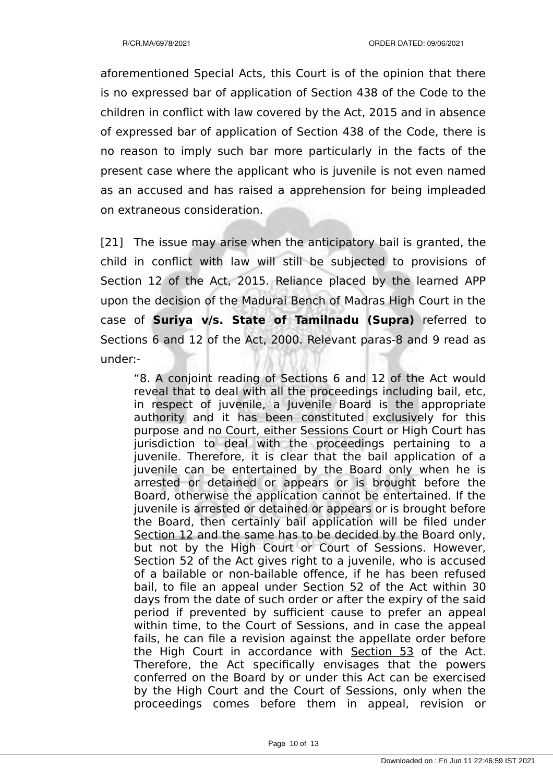aforementioned Special Acts, this Court is of the opinion that there is no expressed bar of application of Section 438 of the Code to the children in conflict with law covered by the Act, 2015 and in absence of expressed bar of application of Section 438 of the Code, there is no reason to imply such bar more particularly in the facts of the present case where the applicant who is juvenile is not even named as an accused and has raised a apprehension for being impleaded on extraneous consideration.

[21] The issue may arise when the anticipatory bail is granted, the child in conflict with law will still be subjected to provisions of Section 12 of the Act, 2015. Reliance placed by the learned APP upon the decision of the Madurai Bench of Madras High Court in the case of **Suriya v/s. State of Tamilnadu (Supra)** referred to Sections 6 and 12 of the Act, 2000. Relevant paras-8 and 9 read as under:-

"8. A conjoint reading of Sections 6 and 12 of the Act would reveal that to deal with all the proceedings including bail, etc, in respect of juvenile, a Juvenile Board is the appropriate authority and it has been constituted exclusively for this purpose and no Court, either Sessions Court or High Court has jurisdiction to deal with the proceedings pertaining to a juvenile. Therefore, it is clear that the bail application of a juvenile can be entertained by the Board only when he is arrested or detained or appears or is brought before the Board, otherwise the application cannot be entertained. If the juvenile is arrested or detained or appears or is brought before the Board, then certainly bail application will be filed under Section 12 and the same has to be decided by the Board only, but not by the High Court or Court of Sessions. However, Section 52 of the Act gives right to a juvenile, who is accused of a bailable or non-bailable offence, if he has been refused bail, to file an appeal under Section 52 of the Act within 30 days from the date of such order or after the expiry of the said period if prevented by sufficient cause to prefer an appeal within time, to the Court of Sessions, and in case the appeal fails, he can file a revision against the appellate order before the High Court in accordance with Section 53 of the Act. Therefore, the Act specifically envisages that the powers conferred on the Board by or under this Act can be exercised by the High Court and the Court of Sessions, only when the proceedings comes before them in appeal, revision or

Page 10 of 13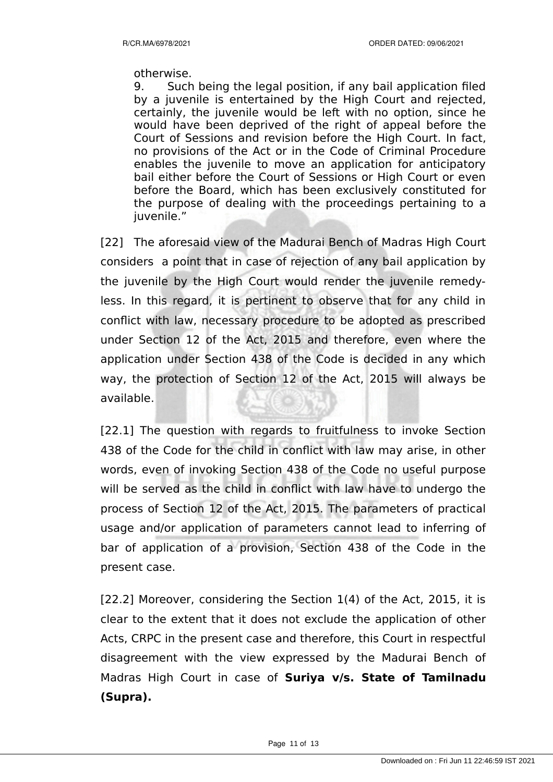#### otherwise.

9. Such being the legal position, if any bail application filed by a juvenile is entertained by the High Court and rejected, certainly, the juvenile would be left with no option, since he would have been deprived of the right of appeal before the Court of Sessions and revision before the High Court. In fact, no provisions of the Act or in the Code of Criminal Procedure enables the juvenile to move an application for anticipatory bail either before the Court of Sessions or High Court or even before the Board, which has been exclusively constituted for the purpose of dealing with the proceedings pertaining to a iuvenile."

[22] The aforesaid view of the Madurai Bench of Madras High Court considers a point that in case of rejection of any bail application by the juvenile by the High Court would render the juvenile remedyless. In this regard, it is pertinent to observe that for any child in conflict with law, necessary procedure to be adopted as prescribed under Section 12 of the Act, 2015 and therefore, even where the application under Section 438 of the Code is decided in any which way, the protection of Section 12 of the Act, 2015 will always be available.

[22.1] The question with regards to fruitfulness to invoke Section 438 of the Code for the child in conflict with law may arise, in other words, even of invoking Section 438 of the Code no useful purpose will be served as the child in conflict with law have to undergo the process of Section 12 of the Act, 2015. The parameters of practical usage and/or application of parameters cannot lead to inferring of bar of application of a provision, Section 438 of the Code in the present case.

[22.2] Moreover, considering the Section 1(4) of the Act, 2015, it is clear to the extent that it does not exclude the application of other Acts, CRPC in the present case and therefore, this Court in respectful disagreement with the view expressed by the Madurai Bench of Madras High Court in case of **Suriya v/s. State of Tamilnadu (Supra).**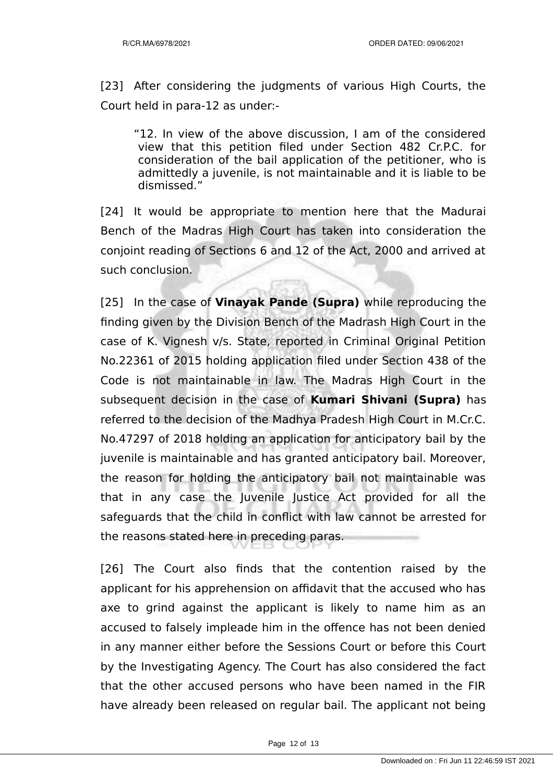[23] After considering the judgments of various High Courts, the Court held in para-12 as under:-

"12. In view of the above discussion, I am of the considered view that this petition filed under Section 482 Cr.P.C. for consideration of the bail application of the petitioner, who is admittedly a juvenile, is not maintainable and it is liable to be dismissed."

[24] It would be appropriate to mention here that the Madurai Bench of the Madras High Court has taken into consideration the conjoint reading of Sections 6 and 12 of the Act, 2000 and arrived at such conclusion.

[25] In the case of **Vinayak Pande (Supra)** while reproducing the finding given by the Division Bench of the Madrash High Court in the case of K. Vignesh v/s. State, reported in Criminal Original Petition No.22361 of 2015 holding application filed under Section 438 of the Code is not maintainable in law. The Madras High Court in the subsequent decision in the case of **Kumari Shivani (Supra)** has referred to the decision of the Madhya Pradesh High Court in M.Cr.C. No.47297 of 2018 holding an application for anticipatory bail by the juvenile is maintainable and has granted anticipatory bail. Moreover, the reason for holding the anticipatory bail not maintainable was that in any case the Juvenile Justice Act provided for all the safeguards that the child in conflict with law cannot be arrested for the reasons stated here in preceding paras.

[26] The Court also finds that the contention raised by the applicant for his apprehension on affidavit that the accused who has axe to grind against the applicant is likely to name him as an accused to falsely impleade him in the offence has not been denied in any manner either before the Sessions Court or before this Court by the Investigating Agency. The Court has also considered the fact that the other accused persons who have been named in the FIR have already been released on regular bail. The applicant not being